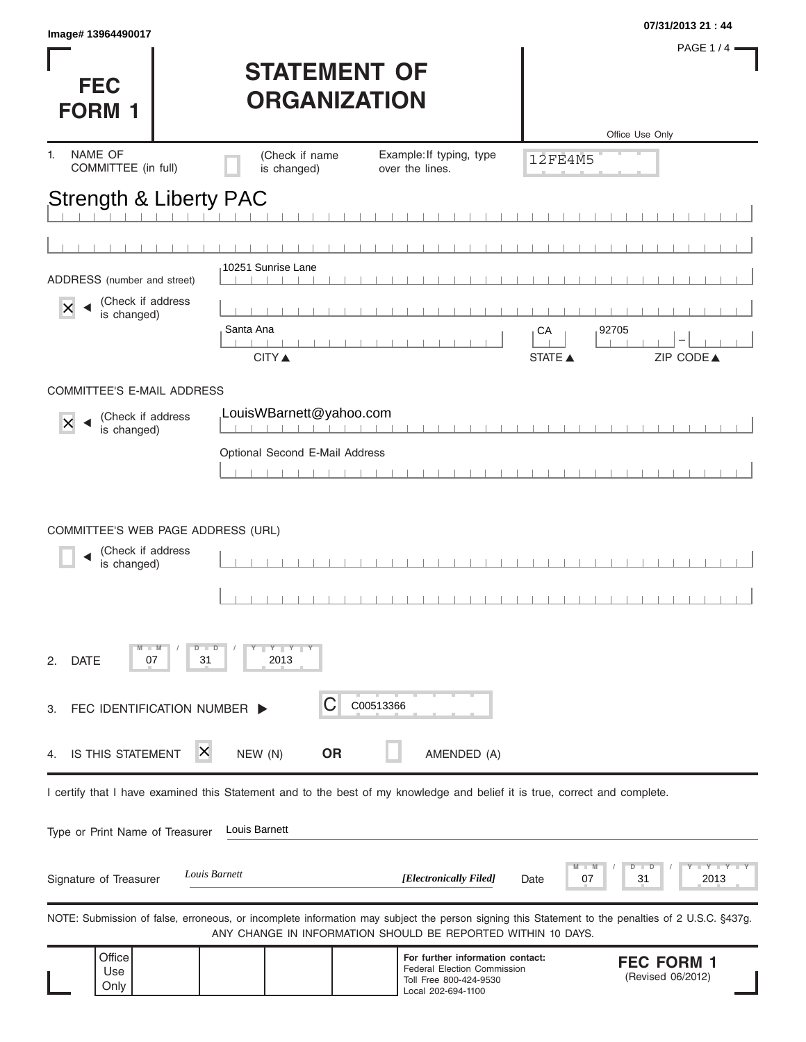| Image# 13964490017                    |                                                                                                                                                   |                                                                                                                        |                 | 07/31/2013 21:44                       |
|---------------------------------------|---------------------------------------------------------------------------------------------------------------------------------------------------|------------------------------------------------------------------------------------------------------------------------|-----------------|----------------------------------------|
| <b>FEC</b><br><b>FORM 1</b>           | <b>STATEMENT OF</b><br><b>ORGANIZATION</b>                                                                                                        |                                                                                                                        |                 | <b>PAGE 1/4</b>                        |
| NAME OF<br>1.                         |                                                                                                                                                   |                                                                                                                        |                 | Office Use Only                        |
| COMMITTEE (in full)                   | (Check if name<br>is changed)                                                                                                                     | Example: If typing, type<br>over the lines.                                                                            | <b>12FE4M5</b>  |                                        |
| Strength & Liberty PAC                |                                                                                                                                                   |                                                                                                                        |                 |                                        |
|                                       |                                                                                                                                                   |                                                                                                                        |                 |                                        |
|                                       |                                                                                                                                                   |                                                                                                                        |                 |                                        |
| ADDRESS (number and street)           | 10251 Sunrise Lane<br>$\Box$<br>$\blacksquare$                                                                                                    |                                                                                                                        |                 |                                        |
| (Check if address<br>X<br>is changed) |                                                                                                                                                   |                                                                                                                        |                 |                                        |
|                                       | Santa Ana                                                                                                                                         |                                                                                                                        | CA              | 92705                                  |
|                                       | <b>CITY</b> ▲                                                                                                                                     |                                                                                                                        | <b>STATE ▲</b>  | ZIP CODE▲                              |
| <b>COMMITTEE'S E-MAIL ADDRESS</b>     |                                                                                                                                                   |                                                                                                                        |                 |                                        |
| (Check if address<br>$\times$         | LouisWBarnett@yahoo.com                                                                                                                           |                                                                                                                        |                 |                                        |
| is changed)                           | Optional Second E-Mail Address                                                                                                                    |                                                                                                                        |                 |                                        |
|                                       |                                                                                                                                                   |                                                                                                                        |                 |                                        |
| (Check if address<br>is changed)      |                                                                                                                                                   |                                                                                                                        |                 |                                        |
| <b>DATE</b><br>07<br>2.               | $Y - Y - Y - Y$<br>D<br>31<br>2013                                                                                                                |                                                                                                                        |                 |                                        |
| FEC IDENTIFICATION NUMBER<br>З.       | С                                                                                                                                                 | C00513366                                                                                                              |                 |                                        |
| IS THIS STATEMENT<br>4.               | х<br>NEW (N)<br><b>OR</b>                                                                                                                         | AMENDED (A)                                                                                                            |                 |                                        |
|                                       | I certify that I have examined this Statement and to the best of my knowledge and belief it is true, correct and complete.                        |                                                                                                                        |                 |                                        |
| Type or Print Name of Treasurer       | Louis Barnett                                                                                                                                     |                                                                                                                        |                 |                                        |
| Signature of Treasurer                | Louis Barnett                                                                                                                                     | [Electronically Filed]                                                                                                 | M<br>07<br>Date | $Y - Y$<br>D<br>ם<br>2013<br>31        |
|                                       | NOTE: Submission of false, erroneous, or incomplete information may subject the person signing this Statement to the penalties of 2 U.S.C. §437g. | ANY CHANGE IN INFORMATION SHOULD BE REPORTED WITHIN 10 DAYS.                                                           |                 |                                        |
| Office<br>Use<br>Only                 |                                                                                                                                                   | For further information contact:<br><b>Federal Election Commission</b><br>Toll Free 800-424-9530<br>Local 202-694-1100 |                 | <b>FEC FORM 1</b><br>(Revised 06/2012) |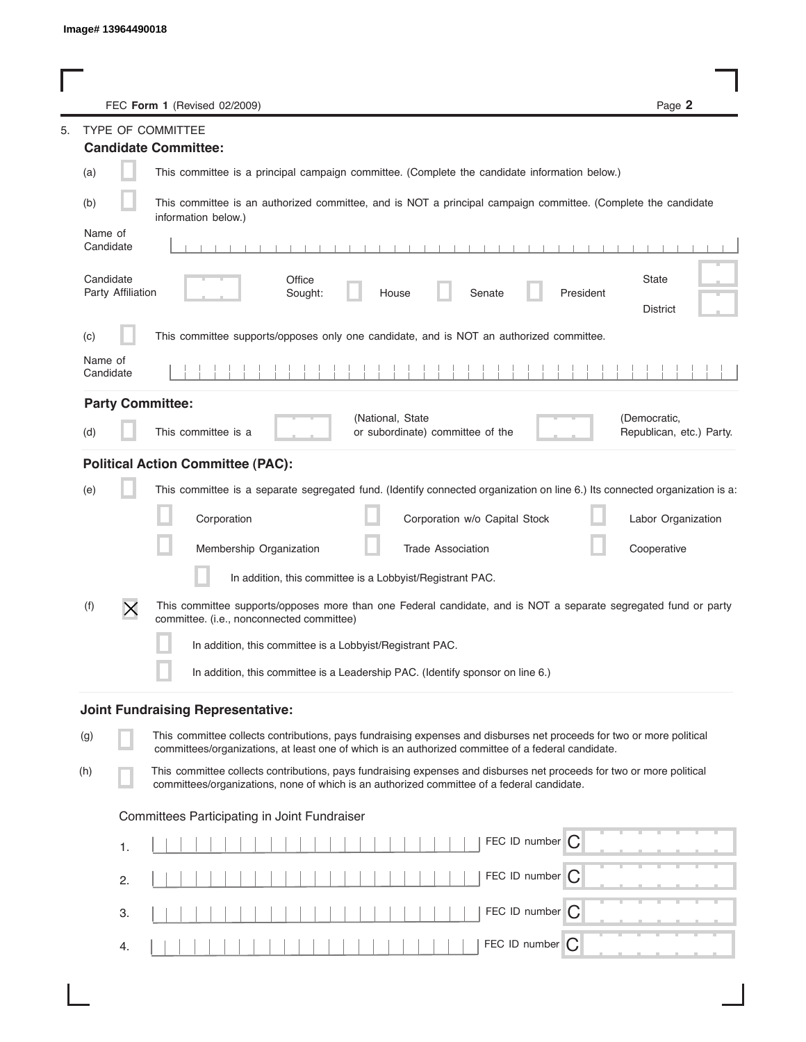|                                                           | FEC Form 1 (Revised 02/2009)                                                                                                                                                                                                | Page 2                                   |
|-----------------------------------------------------------|-----------------------------------------------------------------------------------------------------------------------------------------------------------------------------------------------------------------------------|------------------------------------------|
|                                                           | <b>TYPE OF COMMITTEE</b>                                                                                                                                                                                                    |                                          |
|                                                           | <b>Candidate Committee:</b>                                                                                                                                                                                                 |                                          |
| (a)                                                       | This committee is a principal campaign committee. (Complete the candidate information below.)                                                                                                                               |                                          |
| (b)                                                       | This committee is an authorized committee, and is NOT a principal campaign committee. (Complete the candidate<br>information below.)                                                                                        |                                          |
| Name of<br>Candidate                                      | $-1$ $-1$ $-1$<br>1 1 1 1 1 1                                                                                                                                                                                               |                                          |
| Candidate<br>Party Affiliation                            | Office<br>Sought:<br>Senate<br>President<br>House                                                                                                                                                                           | <b>State</b><br><b>District</b>          |
| (c)                                                       | This committee supports/opposes only one candidate, and is NOT an authorized committee.                                                                                                                                     |                                          |
| Name of<br>Candidate                                      |                                                                                                                                                                                                                             |                                          |
| <b>Party Committee:</b>                                   |                                                                                                                                                                                                                             |                                          |
| (d)                                                       | (National, State<br>This committee is a<br>or subordinate) committee of the                                                                                                                                                 | (Democratic,<br>Republican, etc.) Party. |
|                                                           | <b>Political Action Committee (PAC):</b>                                                                                                                                                                                    |                                          |
| (e)                                                       | This committee is a separate segregated fund. (Identify connected organization on line 6.) Its connected organization is a:                                                                                                 |                                          |
|                                                           | Corporation<br>Corporation w/o Capital Stock                                                                                                                                                                                | Labor Organization                       |
|                                                           | Membership Organization<br><b>Trade Association</b>                                                                                                                                                                         | Cooperative                              |
|                                                           | In addition, this committee is a Lobbyist/Registrant PAC.                                                                                                                                                                   |                                          |
| (f)<br>$\times$                                           | This committee supports/opposes more than one Federal candidate, and is NOT a separate segregated fund or party<br>committee. (i.e., nonconnected committee)                                                                |                                          |
| In addition, this committee is a Lobbyist/Registrant PAC. |                                                                                                                                                                                                                             |                                          |
|                                                           | In addition, this committee is a Leadership PAC. (Identify sponsor on line 6.)                                                                                                                                              |                                          |
|                                                           | <b>Joint Fundraising Representative:</b>                                                                                                                                                                                    |                                          |
| (g)                                                       | This committee collects contributions, pays fundraising expenses and disburses net proceeds for two or more political<br>committees/organizations, at least one of which is an authorized committee of a federal candidate. |                                          |
| (h)                                                       | This committee collects contributions, pays fundraising expenses and disburses net proceeds for two or more political<br>committees/organizations, none of which is an authorized committee of a federal candidate.         |                                          |
| Committees Participating in Joint Fundraiser              |                                                                                                                                                                                                                             |                                          |
| 1.                                                        | FEC ID number<br>IC.                                                                                                                                                                                                        |                                          |
| 2.                                                        | FEC ID number                                                                                                                                                                                                               |                                          |
| З.                                                        | FEC ID number $\bigcap$                                                                                                                                                                                                     |                                          |
| 4.                                                        | FEC ID number $\bigcap$                                                                                                                                                                                                     |                                          |

I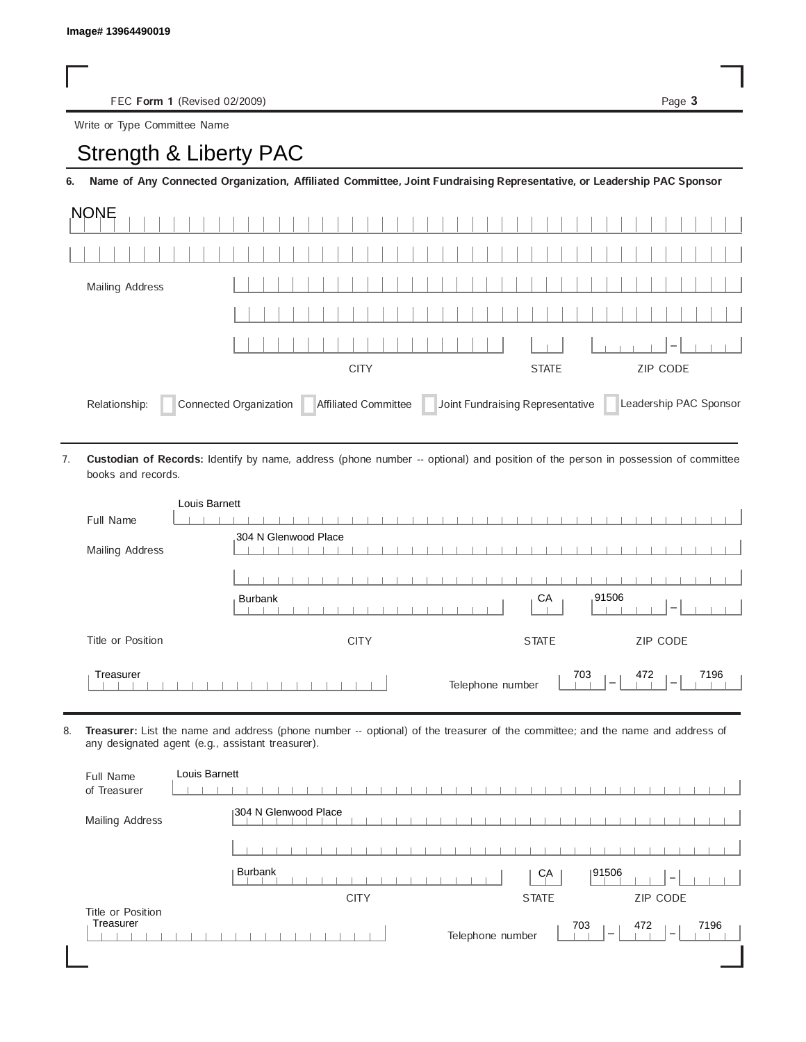## Strength & Liberty PAC

|                              | FEC Form 1 (Revised 02/2009)                                                                                                                                                        | Page 3      |
|------------------------------|-------------------------------------------------------------------------------------------------------------------------------------------------------------------------------------|-------------|
| Write or Type Committee Name |                                                                                                                                                                                     |             |
| Strength & Liberty PAC       |                                                                                                                                                                                     |             |
| 6.                           | Name of Any Connected Organization, Affiliated Committee, Joint Fundraising Representative, or Leadership PAC Sponsor                                                               |             |
| <b>NONE</b>                  |                                                                                                                                                                                     |             |
|                              |                                                                                                                                                                                     |             |
| <b>Mailing Address</b>       |                                                                                                                                                                                     |             |
|                              |                                                                                                                                                                                     |             |
|                              |                                                                                                                                                                                     |             |
|                              | <b>CITY</b><br><b>STATE</b>                                                                                                                                                         | ZIP CODE    |
| books and records.           | Custodian of Records: Identify by name, address (phone number -- optional) and position of the person in possession of committee                                                    |             |
| Full Name                    | Louis Barnett                                                                                                                                                                       |             |
|                              | 304 N Glenwood Place                                                                                                                                                                |             |
| Mailing Address              |                                                                                                                                                                                     |             |
|                              |                                                                                                                                                                                     |             |
|                              | 91506<br>СA<br><b>Burbank</b>                                                                                                                                                       |             |
| Title or Position            | <b>CITY</b><br><b>STATE</b>                                                                                                                                                         | ZIP CODE    |
| Treasurer                    | 703<br>Telephone number<br>.                                                                                                                                                        | 472<br>7196 |
|                              | Treasurer: List the name and address (phone number -- optional) of the treasurer of the committee; and the name and address of<br>any designated agent (e.g., assistant treasurer). |             |
| Full Name<br>of Treasurer    | Louis Barnett                                                                                                                                                                       |             |

| Louis Barnett                                                                                                                                                                       |                      |              |                 |
|-------------------------------------------------------------------------------------------------------------------------------------------------------------------------------------|----------------------|--------------|-----------------|
| Full Name                                                                                                                                                                           |                      |              |                 |
|                                                                                                                                                                                     | 304 N Glenwood Place |              |                 |
| Mailing Address                                                                                                                                                                     |                      |              |                 |
|                                                                                                                                                                                     |                      |              |                 |
|                                                                                                                                                                                     | <b>Burbank</b>       | CA           | 91506           |
| Title or Position                                                                                                                                                                   | <b>CITY</b>          | <b>STATE</b> | <b>ZIP CODE</b> |
| Treasurer<br>7196<br>703<br>472<br>Telephone number                                                                                                                                 |                      |              |                 |
| Treasurer: List the name and address (phone number -- optional) of the treasurer of the committee; and the name and address of<br>any designated agent (e.g., assistant treasurer). |                      |              |                 |
|                                                                                                                                                                                     |                      |              |                 |
| Louis Barnett<br><b>Full Name</b>                                                                                                                                                   |                      |              |                 |
| of Treasurer                                                                                                                                                                        |                      |              |                 |
| Mailing Address                                                                                                                                                                     | 304 N Glenwood Place |              |                 |
|                                                                                                                                                                                     |                      |              |                 |
|                                                                                                                                                                                     | <b>Burbank</b>       | CA           | 91506           |
| Title or Position                                                                                                                                                                   | <b>CITY</b>          | <b>STATE</b> | ZIP CODE        |

|                                  | <b>Burbank</b>                                                                                                                                                                      | CA           | 91506       |
|----------------------------------|-------------------------------------------------------------------------------------------------------------------------------------------------------------------------------------|--------------|-------------|
| Title or Position                | <b>CITY</b>                                                                                                                                                                         | <b>STATE</b> | ZIP CODE    |
| Treasurer                        | Telephone number                                                                                                                                                                    | 703          | 7196<br>472 |
|                                  | Treasurer: List the name and address (phone number -- optional) of the treasurer of the committee; and the name and address of<br>any designated agent (e.g., assistant treasurer). |              |             |
| <b>Full Name</b><br>of Treasurer | Louis Barnett                                                                                                                                                                       |              |             |
| Mailing Address                  | 304 N Glenwood Place                                                                                                                                                                |              |             |
|                                  |                                                                                                                                                                                     |              |             |
|                                  | <b>Burbank</b>                                                                                                                                                                      | CA           | 91506       |
|                                  | <b>CITY</b>                                                                                                                                                                         | <b>STATE</b> | ZIP CODE    |
| Title or Position<br>Treasurer   | Telephone number                                                                                                                                                                    | 703          | 7196<br>472 |